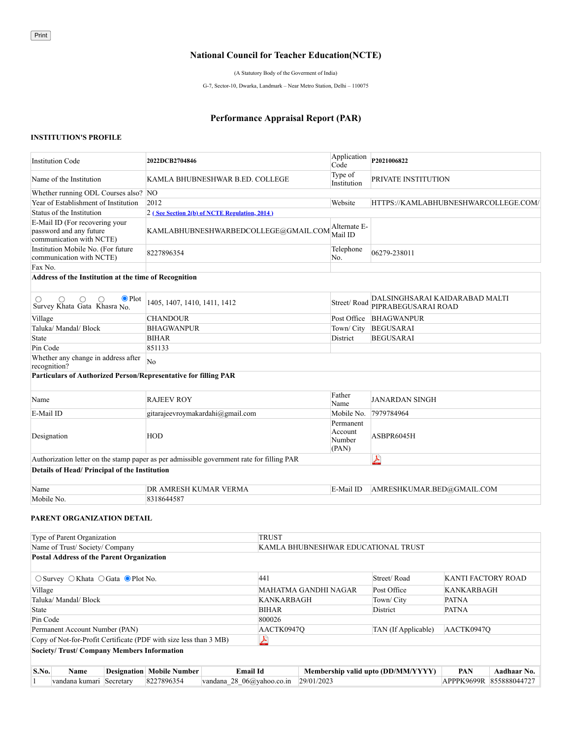#### **National Council for Teacher Education(NCTE)**

(A Statutory Body of the Goverment of India)

G-7, Sector-10, Dwarka, Landmark – Near Metro Station, Delhi – 110075

#### **Performance Appraisal Report (PAR)**

#### **INSTITUTION'S PROFILE**

Copy of Not-for-Profit Certificate (PDF with size less than 3 MB)

| <b>Institution Code</b>                                                                   | 2022DCB2704846                                |                      | Application<br>Code                     | P2021006822                         |                                      |  |
|-------------------------------------------------------------------------------------------|-----------------------------------------------|----------------------|-----------------------------------------|-------------------------------------|--------------------------------------|--|
| Name of the Institution                                                                   | KAMLA BHUBNESHWAR B.ED. COLLEGE               |                      | Type of<br>Institution                  | PRIVATE INSTITUTION                 |                                      |  |
| Whether running ODL Courses also? NO                                                      |                                               |                      |                                         |                                     |                                      |  |
| Year of Establishment of Institution                                                      | 2012                                          |                      | Website                                 |                                     | HTTPS://KAMLABHUBNESHWARCOLLEGE.COM/ |  |
| Status of the Institution                                                                 | 2 (See Section 2(b) of NCTE Regulation, 2014) |                      |                                         |                                     |                                      |  |
| E-Mail ID (For recovering your<br>password and any future<br>communication with NCTE)     | KAMLABHUBNESHWARBEDCOLLEGE@GMAIL.COM          |                      | Alternate E-<br>Mail ID                 |                                     |                                      |  |
| Institution Mobile No. (For future<br>communication with NCTE)                            | 8227896354                                    |                      | Telephone<br>No.                        | 06279-238011                        |                                      |  |
| Fax No.                                                                                   |                                               |                      |                                         |                                     |                                      |  |
| Address of the Institution at the time of Recognition                                     |                                               |                      |                                         |                                     |                                      |  |
|                                                                                           |                                               |                      |                                         |                                     |                                      |  |
| $\bullet$ Plot<br>O<br>◯<br>O<br>O<br>Survey Khata Gata Khasra No.                        | 1405, 1407, 1410, 1411, 1412                  |                      | Street/Road                             | PIPRABEGUSARAI ROAD                 | DALSINGHSARAI KAIDARABAD MALTI       |  |
| Village                                                                                   | <b>CHANDOUR</b>                               |                      | Post Office                             | <b>BHAGWANPUR</b>                   |                                      |  |
| Taluka/ Mandal/ Block                                                                     | <b>BHAGWANPUR</b>                             |                      | Town/ City                              | <b>BEGUSARAI</b>                    |                                      |  |
| State                                                                                     | <b>BIHAR</b>                                  |                      | District                                | <b>BEGUSARAI</b>                    |                                      |  |
| Pin Code                                                                                  | 851133                                        |                      |                                         |                                     |                                      |  |
| Whether any change in address after<br>recognition?                                       | No                                            |                      |                                         |                                     |                                      |  |
| Particulars of Authorized Person/Representative for filling PAR                           |                                               |                      |                                         |                                     |                                      |  |
| Name                                                                                      | <b>RAJEEV ROY</b>                             |                      | Father<br>Name                          | JANARDAN SINGH                      |                                      |  |
| E-Mail ID                                                                                 | gitarajeevroymakardahi@gmail.com              |                      | Mobile No.                              | 7979784964                          |                                      |  |
| Designation                                                                               | <b>HOD</b>                                    |                      | Permanent<br>Account<br>Number<br>(PAN) | ASBPR6045H                          |                                      |  |
| Authorization letter on the stamp paper as per admissible government rate for filling PAR |                                               |                      |                                         | 人                                   |                                      |  |
| Details of Head/Principal of the Institution                                              |                                               |                      |                                         |                                     |                                      |  |
| Name                                                                                      | DR AMRESH KUMAR VERMA                         |                      | E-Mail ID                               | AMRESHKUMAR.BED@GMAIL.COM           |                                      |  |
| Mobile No.                                                                                | 8318644587                                    |                      |                                         |                                     |                                      |  |
| PARENT ORGANIZATION DETAIL                                                                |                                               |                      |                                         |                                     |                                      |  |
| Type of Parent Organization                                                               |                                               | <b>TRUST</b>         |                                         |                                     |                                      |  |
| Name of Trust/ Society/ Company                                                           |                                               |                      |                                         | KAMLA BHUBNESHWAR EDUCATIONAL TRUST |                                      |  |
| <b>Postal Address of the Parent Organization</b>                                          |                                               |                      |                                         |                                     |                                      |  |
| $\circ$ Survey $\circ$ Khata $\circ$ Gata $\circ$ Plot No.                                |                                               | 441                  |                                         | Street/Road                         | <b>KANTI FACTORY ROAD</b>            |  |
| Village                                                                                   |                                               | MAHATMA GANDHI NAGAR |                                         | Post Office                         | <b>KANKARBAGH</b>                    |  |
| Taluka/ Mandal/ Block                                                                     |                                               | <b>KANKARBAGH</b>    |                                         | Town/City                           | <b>PATNA</b>                         |  |
| State                                                                                     |                                               | <b>BIHAR</b>         |                                         | District                            | <b>PATNA</b>                         |  |
| Pin Code                                                                                  |                                               | 800026               |                                         |                                     |                                      |  |
| Permanent Account Number (PAN)                                                            |                                               | AACTK0947Q           |                                         | TAN (If Applicable)                 | AACTK0947O                           |  |

# **Society/ Trust/ Company Members Information S.No. Name Designation Mobile Number Email Id Membership valid upto (DD/MM/YYYY) PAN Aadhaar No.** 1 vandana kumari Secretary 8227896354 vandana\_28\_06@yahoo.co.in 29/01/2023 APPPK9699R 855888044727

ム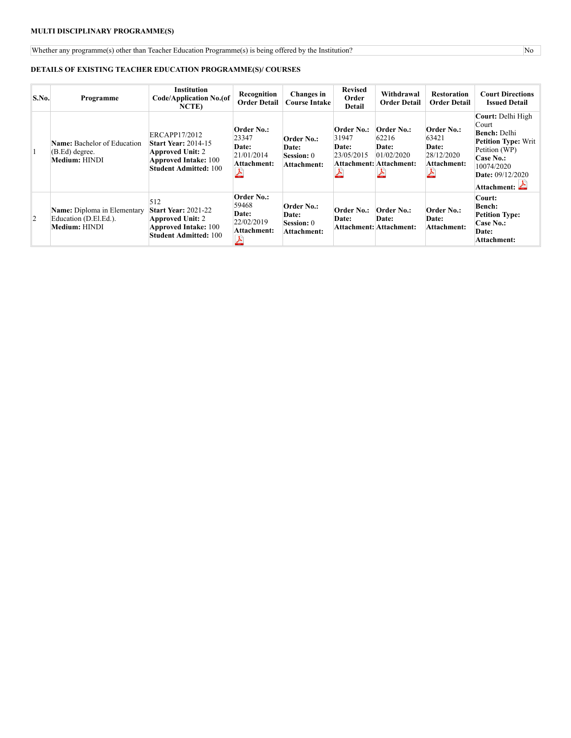# **MULTI DISCIPLINARY PROGRAMME(S)**

Whether any programme(s) other than Teacher Education Programme(s) is being offered by the Institution? No

# **DETAILS OF EXISTING TEACHER EDUCATION PROGRAMME(S)/ COURSES**

| S.No.          | Programme                                                                           | <b>Institution</b><br>Code/Application No.(of<br><b>NCTE</b> )                                                                        | Recognition<br><b>Order Detail</b>                               | Changes in<br><b>Course Intake</b>                      | <b>Revised</b><br>Order<br>Detail          | Withdrawal<br><b>Order Detail</b>                                            | <b>Restoration</b><br><b>Order Detail</b>                 | <b>Court Directions</b><br><b>Issued Detail</b>                                                                                                                                   |
|----------------|-------------------------------------------------------------------------------------|---------------------------------------------------------------------------------------------------------------------------------------|------------------------------------------------------------------|---------------------------------------------------------|--------------------------------------------|------------------------------------------------------------------------------|-----------------------------------------------------------|-----------------------------------------------------------------------------------------------------------------------------------------------------------------------------------|
| 11             | <b>Name:</b> Bachelor of Education<br>(B.Ed) degree.<br>Medium: HINDI               | ERCAPP17/2012<br><b>Start Year: 2014-15</b><br><b>Approved Unit: 2</b><br><b>Approved Intake: 100</b><br><b>Student Admitted: 100</b> | Order No.:<br>23347<br>Date:<br>21/01/2014<br>Attachment:        | Order No.:<br>Date:<br><b>Session:</b> 0<br>Attachment: | Order No.:<br>31947<br>Date:<br>23/05/2015 | Order No.:<br>62216<br><b>Date:</b><br>01/02/2020<br>Attachment: Attachment: | Order No.:<br>63421<br>Date:<br>28/12/2020<br>Attachment: | Court: Delhi High<br>Court<br><b>Bench: Delhi</b><br><b>Petition Type: Writ</b><br>Petition (WP)<br>Case No.:<br>10074/2020<br><b>Date:</b> 09/12/2020<br>Attachment: $\triangle$ |
| $\overline{2}$ | <b>Name:</b> Diploma in Elementary<br>Education (D.El.Ed.).<br><b>Medium: HINDI</b> | 512<br><b>Start Year: 2021-22</b><br><b>Approved Unit: 2</b><br><b>Approved Intake: 100</b><br><b>Student Admitted: 100</b>           | <b>Order No.:</b><br>59468<br>Date:<br>22/02/2019<br>Attachment: | Order No.:<br>Date:<br><b>Session:</b> 0<br>Attachment: | Order No.:<br><b>Date:</b>                 | Order No.:<br><b>Date:</b><br>Attachment: Attachment:                        | Order No.:<br>Date:<br><b>Attachment:</b>                 | Court:<br><b>Bench:</b><br><b>Petition Type:</b><br>Case No.:<br><b>Date:</b><br>Attachment:                                                                                      |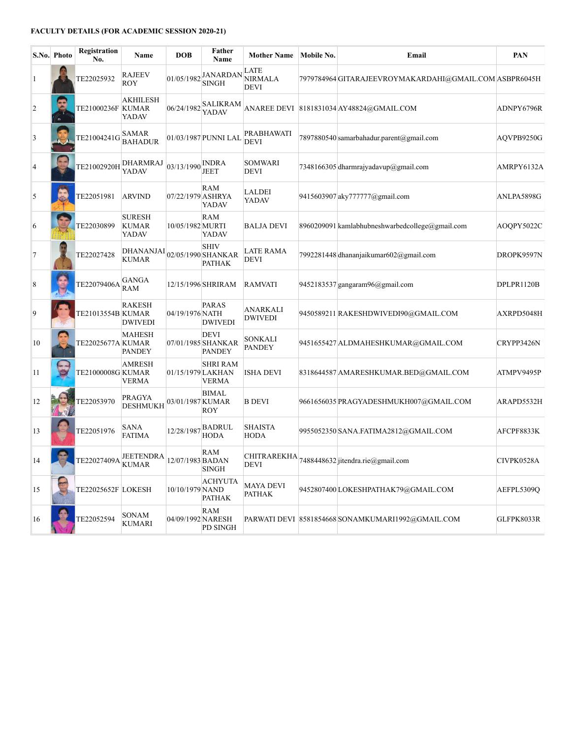# **FACULTY DETAILS (FOR ACADEMIC SESSION 2020-21)**

| S.No.           | Photo | Registration<br>No. | Name                                          | <b>DOB</b>                          | Father<br>Name                                     | <b>Mother Name</b>                    | Mobile No. | Email                                                  | PAN        |
|-----------------|-------|---------------------|-----------------------------------------------|-------------------------------------|----------------------------------------------------|---------------------------------------|------------|--------------------------------------------------------|------------|
| 1               |       | TE22025932          | <b>RAJEEV</b><br><b>ROY</b>                   | 01/05/1982                          | <b>JANARDAN</b><br><b>SINGH</b>                    | LATE<br><b>NIRMALA</b><br><b>DEVI</b> |            | 7979784964 GITARAJEEVROYMAKARDAHI@GMAIL.COM ASBPR6045H |            |
| $\overline{2}$  |       | TE21000236F  KUMAR  | <b>AKHILESH</b><br>YADAV                      | 06/24/1982                          | <b>SALIKRAM</b><br>YADAV                           |                                       |            | ANAREE DEVI 8181831034 AY48824@GMAIL.COM               | ADNPY6796R |
| $\overline{3}$  |       | TE21004241G         | <b>SAMAR</b><br><b>BAHADUR</b>                |                                     | 01/03/1987 PUNNI LAL                               | PRABHAWATI<br><b>DEVI</b>             |            | 7897880540 samarbahadur.parent@gmail.com               | AOVPB9250G |
| $\vert 4 \vert$ |       | TE21002920H         | DHARMRAJ<br>YADAV                             | $03/13/1990$ $\boxed{\text{NDRAM}}$ | <b>JEET</b>                                        | <b>SOMWARI</b><br><b>DEVI</b>         |            | 7348166305 dharmrajyadayup@gmail.com                   | AMRPY6132A |
| 5               |       | TE22051981          | <b>ARVIND</b>                                 | 07/22/1979 ASHRYA                   | <b>RAM</b><br>YADAV                                | <b>LALDEI</b><br>YADAV                |            | 9415603907 aky777777@gmail.com                         | ANLPA5898G |
| 6               |       | TE22030899          | <b>SURESH</b><br><b>KUMAR</b><br><b>YADAV</b> | 10/05/1982 MURTI                    | RAM<br>YADAV                                       | <b>BALJA DEVI</b>                     |            | 8960209091 kamlabhubneshwarbedcollege@gmail.com        | AOQPY5022C |
| 7               |       | TE22027428          | DHANANJAI<br><b>KUMAR</b>                     |                                     | <b>SHIV</b><br>02/05/1990 SHANKAR<br><b>PATHAK</b> | <b>LATE RAMA</b><br><b>DEVI</b>       |            | 7992281448 dhananjaikumar602@gmail.com                 | DROPK9597N |
| $\sqrt{8}$      |       | TE22079406A         | GANGA<br><b>RAM</b>                           |                                     | 12/15/1996 SHRIRAM                                 | <b>RAMVATI</b>                        |            | 9452183537 gangaram96@gmail.com                        | DPLPR1120B |
| 9               |       | TE21013554B KUMAR   | <b>RAKESH</b><br><b>DWIVEDI</b>               | 04/19/1976 NATH                     | <b>PARAS</b><br><b>DWIVEDI</b>                     | <b>ANARKALI</b><br><b>DWIVEDI</b>     |            | 9450589211 RAKESHDWIVEDI90@GMAIL.COM                   | AXRPD5048H |
| 10              |       | TE22025677A KUMAR   | <b>MAHESH</b><br><b>PANDEY</b>                |                                     | <b>DEVI</b><br>07/01/1985 SHANKAR<br><b>PANDEY</b> | SONKALI<br><b>PANDEY</b>              |            | 9451655427 ALDMAHESHKUMAR@GMAIL.COM                    | CRYPP3426N |
| 11              |       | TE21000008G KUMAR   | <b>AMRESH</b><br><b>VERMA</b>                 | 01/15/1979 LAKHAN                   | <b>SHRI RAM</b><br><b>VERMA</b>                    | <b>ISHA DEVI</b>                      |            | 8318644587 AMARESHKUMAR.BED@GMAIL.COM                  | ATMPV9495P |
| 12              |       | TE22053970          | PRAGYA<br><b>DESHMUKH</b>                     | 03/01/1987 KUMAR                    | <b>BIMAL</b><br><b>ROY</b>                         | <b>B DEVI</b>                         |            | 9661656035 PRAGYADESHMUKH007@GMAIL.COM                 | ARAPD5532H |
| 13              |       | TE22051976          | SANA<br><b>FATIMA</b>                         | 12/28/1987                          | BADRUL<br><b>HODA</b>                              | <b>SHAISTA</b><br><b>HODA</b>         |            | 9955052350 SANA.FATIMA2812@GMAIL.COM                   | AFCPF8833K |
| 14              |       | TE22027409A         | JEETENDRA<br><b>KUMAR</b>                     | 12/07/1983 BADAN                    | RAM<br><b>SINGH</b>                                | <b>DEVI</b>                           |            | CHITRAREKHA 7488448632 jitendra.rie@gmail.com          | CIVPK0528A |
| 15              |       | TE22025652F LOKESH  |                                               | 10/10/1979 NAND                     | <b>ACHYUTA</b><br><b>PATHAK</b>                    | <b>MAYA DEVI</b><br><b>PATHAK</b>     |            | 9452807400 LOKESHPATHAK79@GMAIL.COM                    | AEFPL5309Q |
| 16              |       | TE22052594          | SONAM<br><b>KUMARI</b>                        | 04/09/1992 NARESH                   | <b>RAM</b><br>PD SINGH                             |                                       |            | PARWATI DEVI 8581854668 SONAMKUMARI1992@GMAIL.COM      | GLFPK8033R |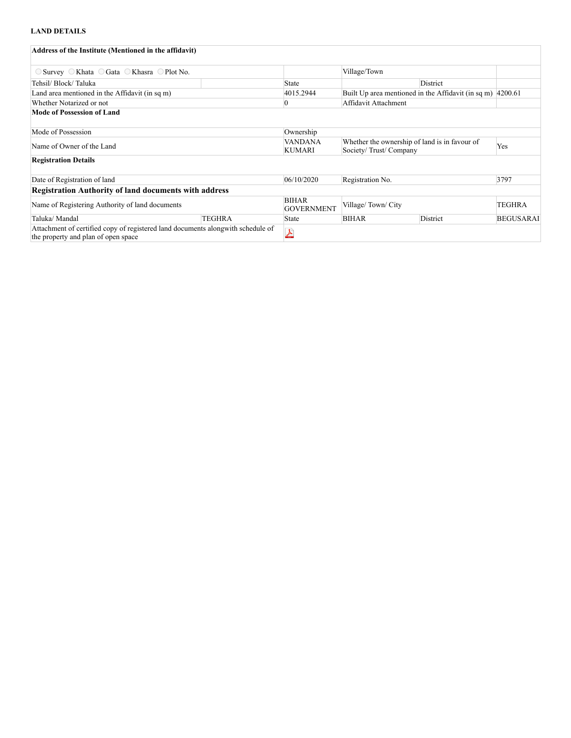# **LAND DETAILS**

| Address of the Institute (Mentioned in the affidavit)                                                                   |                         |                                   |                                                                        |                                                                      |                  |
|-------------------------------------------------------------------------------------------------------------------------|-------------------------|-----------------------------------|------------------------------------------------------------------------|----------------------------------------------------------------------|------------------|
| $\circ$ Survey $\circ$ Khata $\circ$ Gata $\circ$ Khasra $\circ$ Plot No.                                               |                         |                                   | Village/Town                                                           |                                                                      |                  |
| Tehsil/ Block/ Taluka                                                                                                   |                         | State                             |                                                                        | District                                                             |                  |
| Land area mentioned in the Affidavit (in sq m)                                                                          |                         | 4015.2944                         |                                                                        | Built Up area mentioned in the Affidavit (in sq m) $ 4200.61\rangle$ |                  |
| Whether Notarized or not                                                                                                |                         |                                   | Affidavit Attachment                                                   |                                                                      |                  |
| <b>Mode of Possession of Land</b>                                                                                       |                         |                                   |                                                                        |                                                                      |                  |
| Mode of Possession                                                                                                      |                         | Ownership                         |                                                                        |                                                                      |                  |
| Name of Owner of the Land                                                                                               |                         | VANDANA<br>KUMARI                 | Whether the ownership of land is in favour of<br>Society/Trust/Company |                                                                      | Yes              |
| <b>Registration Details</b>                                                                                             |                         |                                   |                                                                        |                                                                      |                  |
| Date of Registration of land                                                                                            |                         | 06/10/2020                        | Registration No.                                                       |                                                                      | 3797             |
| <b>Registration Authority of land documents with address</b>                                                            |                         |                                   |                                                                        |                                                                      |                  |
| Name of Registering Authority of land documents                                                                         |                         | <b>BIHAR</b><br><b>GOVERNMENT</b> | Village/Town/City                                                      |                                                                      | TEGHRA           |
| Taluka/ Mandal                                                                                                          | TEGHRA                  | State                             | <b>BIHAR</b>                                                           | District                                                             | <b>BEGUSARAI</b> |
| Attachment of certified copy of registered land documents along with schedule of<br>the property and plan of open space | $\overline{\mathbf{Y}}$ |                                   |                                                                        |                                                                      |                  |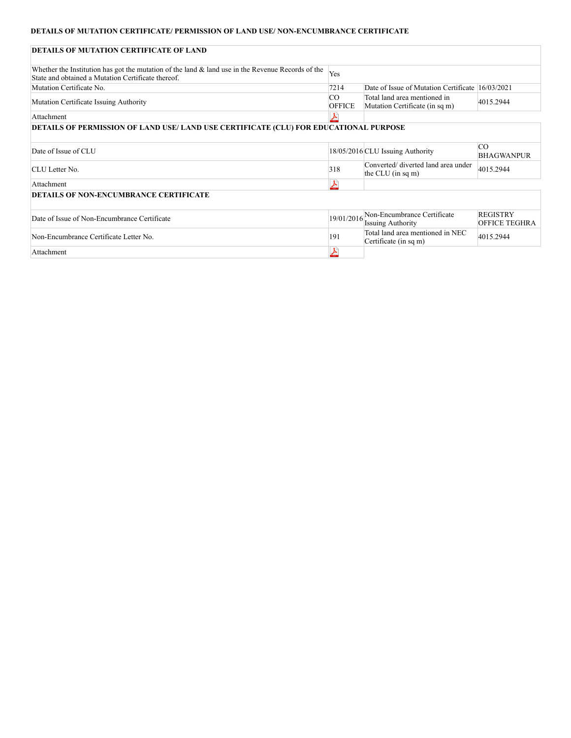# **DETAILS OF MUTATION CERTIFICATE/ PERMISSION OF LAND USE/ NON-ENCUMBRANCE CERTIFICATE**

| DETAILS OF MUTATION CERTIFICATE OF LAND                                                                                                                    |                     |                                                                |                                         |
|------------------------------------------------------------------------------------------------------------------------------------------------------------|---------------------|----------------------------------------------------------------|-----------------------------------------|
| Whether the Institution has got the mutation of the land $\&$ land use in the Revenue Records of the<br>State and obtained a Mutation Certificate thereof. | Yes                 |                                                                |                                         |
| Mutation Certificate No.                                                                                                                                   | 7214                | Date of Issue of Mutation Certificate 16/03/2021               |                                         |
| Mutation Certificate Issuing Authority                                                                                                                     | CO<br><b>OFFICE</b> | Total land area mentioned in<br>Mutation Certificate (in sq m) | 4015.2944                               |
| Attachment                                                                                                                                                 |                     |                                                                |                                         |
| DETAILS OF PERMISSION OF LAND USE/ LAND USE CERTIFICATE (CLU) FOR EDUCATIONAL PURPOSE                                                                      |                     |                                                                |                                         |
| Date of Issue of CLU                                                                                                                                       |                     | 18/05/2016 CLU Issuing Authority                               | CO.<br><b>BHAGWANPUR</b>                |
| CLU Letter No.                                                                                                                                             | 318                 | Converted/ diverted land area under<br>the CLU (in sq m)       | 4015.2944                               |
| Attachment                                                                                                                                                 | 스                   |                                                                |                                         |
| <b>DETAILS OF NON-ENCUMBRANCE CERTIFICATE</b>                                                                                                              |                     |                                                                |                                         |
| Date of Issue of Non-Encumbrance Certificate                                                                                                               | 19/01/2016          | Non-Encumbrance Certificate<br><b>Issuing Authority</b>        | <b>REGISTRY</b><br><b>OFFICE TEGHRA</b> |
| Non-Encumbrance Certificate Letter No.                                                                                                                     | 191                 | Total land area mentioned in NEC<br>Certificate (in sq m)      | 4015.2944                               |
| Attachment                                                                                                                                                 | 스                   |                                                                |                                         |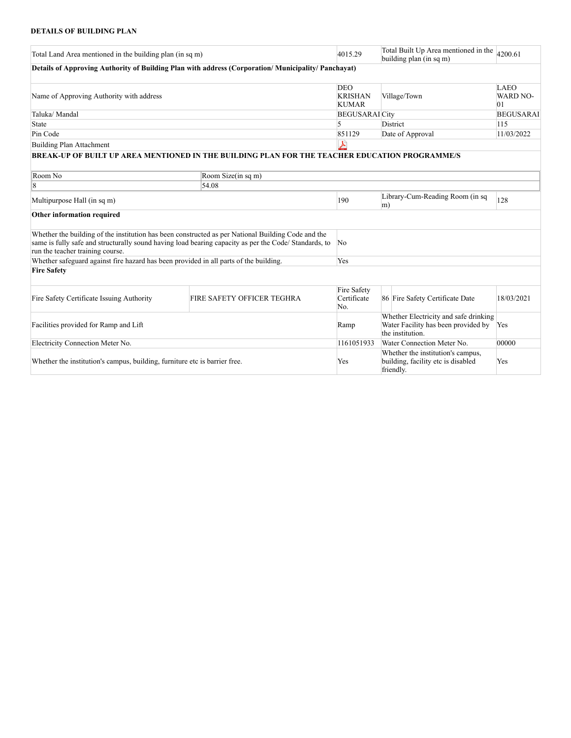# **DETAILS OF BUILDING PLAN**

| Total Land Area mentioned in the building plan (in sq m)                              |                                                                                                                                                                                                             |                                              | Total Built Up Area mentioned in the<br>building plan (in sq m)                                  | 4200.61                              |  |
|---------------------------------------------------------------------------------------|-------------------------------------------------------------------------------------------------------------------------------------------------------------------------------------------------------------|----------------------------------------------|--------------------------------------------------------------------------------------------------|--------------------------------------|--|
|                                                                                       | Details of Approving Authority of Building Plan with address (Corporation/Municipality/Panchayat)                                                                                                           |                                              |                                                                                                  |                                      |  |
| Name of Approving Authority with address                                              |                                                                                                                                                                                                             | <b>DEO</b><br><b>KRISHAN</b><br><b>KUMAR</b> | Village/Town                                                                                     | <b>LAEO</b><br><b>WARD NO-</b><br>01 |  |
| Taluka/Mandal                                                                         |                                                                                                                                                                                                             |                                              | <b>BEGUSARAI</b> City                                                                            | <b>BEGUSARAI</b>                     |  |
| State                                                                                 |                                                                                                                                                                                                             | 5                                            | <b>District</b>                                                                                  | 115                                  |  |
| Pin Code                                                                              |                                                                                                                                                                                                             | 851129                                       | Date of Approval                                                                                 | 11/03/2022                           |  |
| Building Plan Attachment                                                              |                                                                                                                                                                                                             | 人                                            |                                                                                                  |                                      |  |
|                                                                                       | BREAK-UP OF BUILT UP AREA MENTIONED IN THE BUILDING PLAN FOR THE TEACHER EDUCATION PROGRAMME/S                                                                                                              |                                              |                                                                                                  |                                      |  |
|                                                                                       |                                                                                                                                                                                                             |                                              |                                                                                                  |                                      |  |
| Room No                                                                               | Room Size(in sq m)                                                                                                                                                                                          |                                              |                                                                                                  |                                      |  |
| 18                                                                                    | 54.08                                                                                                                                                                                                       |                                              |                                                                                                  |                                      |  |
| Multipurpose Hall (in sq m)                                                           |                                                                                                                                                                                                             |                                              | Library-Cum-Reading Room (in sq<br>m)                                                            | 128                                  |  |
| Other information required                                                            |                                                                                                                                                                                                             |                                              |                                                                                                  |                                      |  |
| run the teacher training course.                                                      | Whether the building of the institution has been constructed as per National Building Code and the<br>same is fully safe and structurally sound having load bearing capacity as per the Code/ Standards, to | $\overline{\text{No}}$                       |                                                                                                  |                                      |  |
| Whether safeguard against fire hazard has been provided in all parts of the building. |                                                                                                                                                                                                             | Yes                                          |                                                                                                  |                                      |  |
| <b>Fire Safety</b>                                                                    |                                                                                                                                                                                                             |                                              |                                                                                                  |                                      |  |
| Fire Safety Certificate Issuing Authority                                             | FIRE SAFETY OFFICER TEGHRA                                                                                                                                                                                  | Fire Safety<br>Certificate<br>No.            | 86 Fire Safety Certificate Date                                                                  | 18/03/2021                           |  |
| Facilities provided for Ramp and Lift                                                 |                                                                                                                                                                                                             |                                              | Whether Electricity and safe drinking<br>Water Facility has been provided by<br>the institution. | Yes                                  |  |
| Electricity Connection Meter No.                                                      |                                                                                                                                                                                                             |                                              | Water Connection Meter No.                                                                       | 00000                                |  |
| Whether the institution's campus, building, furniture etc is barrier free.            |                                                                                                                                                                                                             |                                              | Whether the institution's campus,<br>building, facility etc is disabled<br>friendly.             | Yes                                  |  |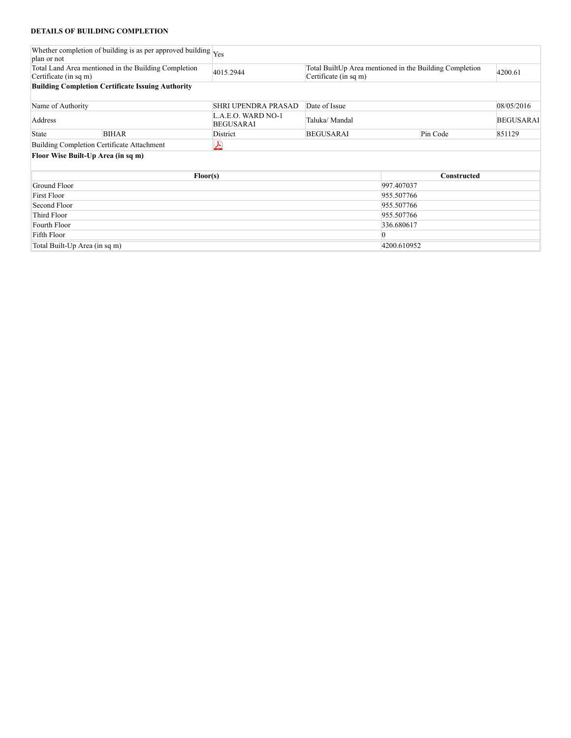# **DETAILS OF BUILDING COMPLETION**

|                                                                                              | Whether completion of building is as per approved building $ _{Yes}$ |                                        |                                                                                  |                |             |                  |
|----------------------------------------------------------------------------------------------|----------------------------------------------------------------------|----------------------------------------|----------------------------------------------------------------------------------|----------------|-------------|------------------|
| plan or not<br>Total Land Area mentioned in the Building Completion<br>Certificate (in sq m) |                                                                      | 4015.2944                              | Total BuiltUp Area mentioned in the Building Completion<br>Certificate (in sq m) |                |             | 4200.61          |
|                                                                                              | <b>Building Completion Certificate Issuing Authority</b>             |                                        |                                                                                  |                |             |                  |
| Name of Authority                                                                            |                                                                      | SHRI UPENDRA PRASAD                    | Date of Issue                                                                    |                |             | 08/05/2016       |
| Address                                                                                      |                                                                      | L.A.E.O. WARD NO-1<br><b>BEGUSARAI</b> | Taluka/ Mandal                                                                   |                |             | <b>BEGUSARAI</b> |
| State                                                                                        | <b>BIHAR</b>                                                         | District                               | <b>BEGUSARAI</b>                                                                 |                | Pin Code    | 851129           |
|                                                                                              | Building Completion Certificate Attachment                           | ᆇ                                      |                                                                                  |                |             |                  |
|                                                                                              | Floor Wise Built-Up Area (in sq m)                                   |                                        |                                                                                  |                |             |                  |
|                                                                                              | Floor(s)                                                             |                                        |                                                                                  |                | Constructed |                  |
| Ground Floor                                                                                 |                                                                      |                                        |                                                                                  | 997.407037     |             |                  |
| <b>First Floor</b>                                                                           |                                                                      |                                        |                                                                                  | 955.507766     |             |                  |
| Second Floor                                                                                 |                                                                      |                                        |                                                                                  | 955.507766     |             |                  |
| Third Floor                                                                                  |                                                                      |                                        |                                                                                  | 955.507766     |             |                  |
| Fourth Floor                                                                                 |                                                                      |                                        |                                                                                  | 336.680617     |             |                  |
| Fifth Floor                                                                                  |                                                                      |                                        |                                                                                  | $\overline{0}$ |             |                  |
|                                                                                              | Total Built-Up Area (in sq m)                                        |                                        |                                                                                  | 4200.610952    |             |                  |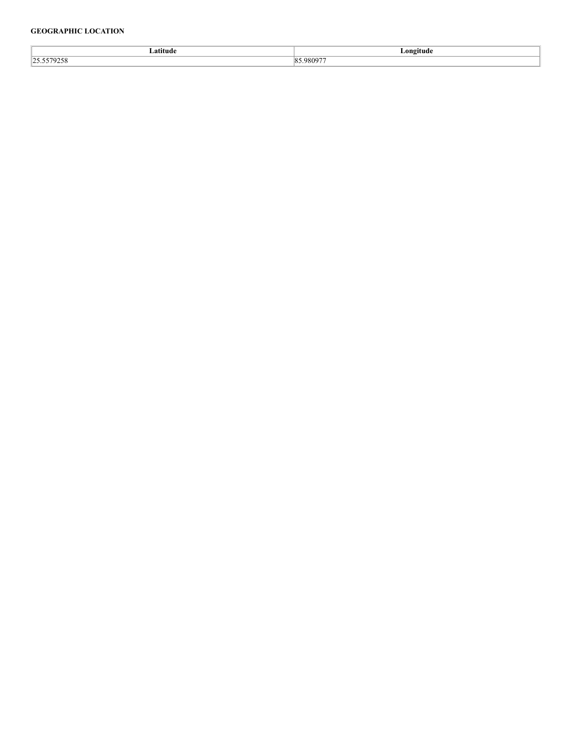# **GEOGRAPHIC LOCATION**

| ıtud   | ongitude |
|--------|----------|
| $\sim$ | n<br>ΔU. |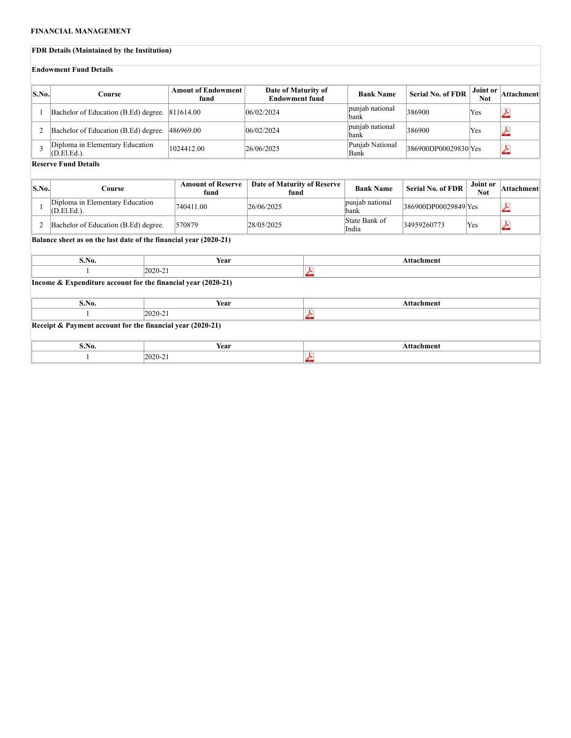#### **FINANCIAL MANAGEMENT**

#### **FDR Details (Maintained by the Institution) Endowment Fund Details S.No. Course Amout of Endowment Date of Maturity of EXECUTE: EXECUTE: EXECUTE: EXECUTE: EXECUTE: EXECUTE: EXECUTE: EXECUTE: EXECUTE: EXECUTE: EXECUTE: EXECUTE: EXECUTE: EXECUTE: EXECUTE: EXECUTE: EXECUTE: EXECUTE: EXECUTE: EXECUTE: E Not Attachment fund** 1 Bachelor of Education (B.Ed) degree. 811614.00  $06/02/2024$  punjab national bank 386900 Yes A punjab national  $\left| \frac{386900}{286900} \right|$  Yes  $\overline{\mathbf{Y}}$ 2 Bachelor of Education (B.Ed) degree.  $486969.00$   $|06/02/2024$  punjable national punjable national punjable national punjable national punjable national punjable national punjable national punjable national punjable nat 3 Diploma in Elementary Education 1024412.00 26/06/2025 Punjab National Bank Punjab National  $\begin{array}{|l} 386900DPO0029830 \end{array}$ Yes  $\overline{\mathcal{X}}$ **Reserve Fund Details S.No. Course Amount of Reserve Date of Maturity of Reserve f**Bank Name Serial No. of FDR Joint or **Not Attachment fund** punjab national  $\begin{array}{r} 386900DPO0029849 \end{array}$ Yes 1 Diploma in Elementary Education 740411.00 26/06/2025 punjab national punjab national punjab national punjab national Ł 2 Bachelor of Education (B.Ed) degree. 570879 28/05/2025 State Bank of India À  $34959260773$  Yes **Balance sheet as on the last date of the financial year (2020-21) S.No. Year Attachment** 1 2020-21 乄 **Income & Expenditure account for the financial year (2020-21) S.No. Year Attachment** 1 2020-21  $\blacktriangleright$ **Receipt & Payment account for the financial year (2020-21) S.No. Year Attachment** 1 2020-21 $\blacktriangleright$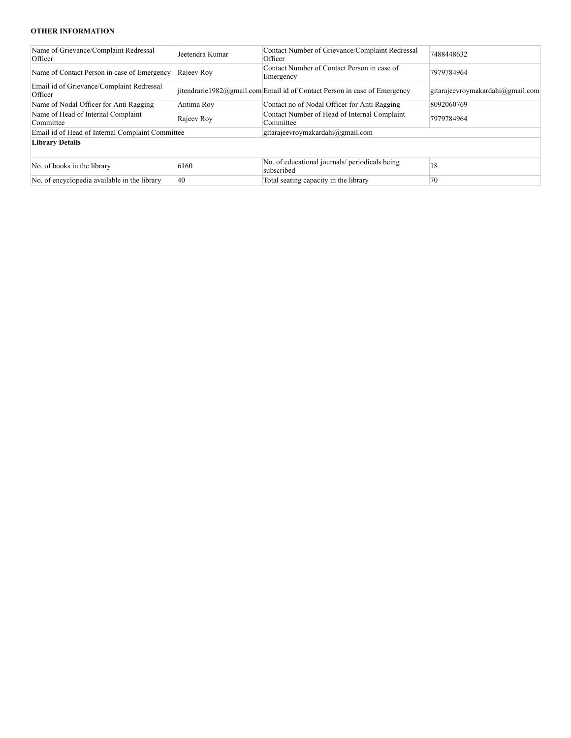# **OTHER INFORMATION**

| Name of Grievance/Complaint Redressal<br>Officer     | Jeetendra Kumar | Contact Number of Grievance/Complaint Redressal<br>Officer               | 7488448632                       |  |  |
|------------------------------------------------------|-----------------|--------------------------------------------------------------------------|----------------------------------|--|--|
| Name of Contact Person in case of Emergency          | Rajeev Roy      | Contact Number of Contact Person in case of<br>Emergency                 | 7979784964                       |  |  |
| Email id of Grievance/Complaint Redressal<br>Officer |                 | itendrarie1982@gmail.com Email id of Contact Person in case of Emergency | gitarajeevroymakardahi@gmail.com |  |  |
| Name of Nodal Officer for Anti Ragging               | Antima Roy      | Contact no of Nodal Officer for Anti Ragging                             | 8092060769                       |  |  |
| Name of Head of Internal Complaint<br>Committee      | Rajeev Roy      | Contact Number of Head of Internal Complaint<br>Committee                | 7979784964                       |  |  |
| Email id of Head of Internal Complaint Committee     |                 | gitarajeevroymakardahi@gmail.com                                         |                                  |  |  |
| <b>Library Details</b>                               |                 |                                                                          |                                  |  |  |
| No. of books in the library                          | 6160            | No. of educational journals/ periodicals being<br>subscribed             | 18                               |  |  |
| No. of encyclopedia available in the library         | 40              | Total seating capacity in the library                                    | $70^{\circ}$                     |  |  |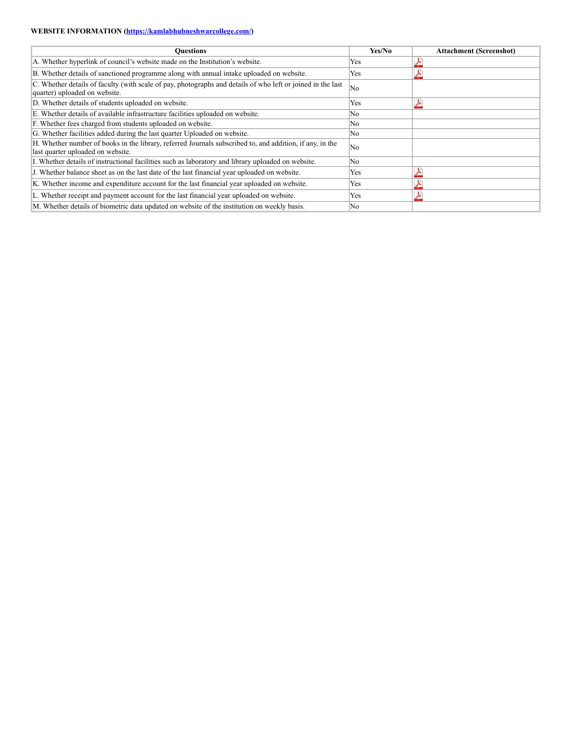# **WEBSITE INFORMATION [\(https://kamlabhubneshwarcollege.com/](http://https//kamlabhubneshwarcollege.com/))**

| <b>Ouestions</b>                                                                                                                              | Yes/No | <b>Attachment (Screenshot)</b> |
|-----------------------------------------------------------------------------------------------------------------------------------------------|--------|--------------------------------|
| A. Whether hyperlink of council's website made on the Institution's website.                                                                  | Yes    |                                |
| B. Whether details of sanctioned programme along with annual intake uploaded on website.                                                      | Yes    |                                |
| C. Whether details of faculty (with scale of pay, photographs and details of who left or joined in the last<br>quarter) uploaded on website.  | No     |                                |
| D. Whether details of students uploaded on website.                                                                                           | Yes    |                                |
| E. Whether details of available infrastructure facilities uploaded on website.                                                                | No.    |                                |
| F. Whether fees charged from students uploaded on website.                                                                                    | No     |                                |
| G. Whether facilities added during the last quarter Uploaded on website.                                                                      | No     |                                |
| H. Whether number of books in the library, referred Journals subscribed to, and addition, if any, in the<br>last quarter uploaded on website. | No     |                                |
| I. Whether details of instructional facilities such as laboratory and library uploaded on website.                                            | No     |                                |
| J. Whether balance sheet as on the last date of the last financial year uploaded on website.                                                  | Yes    |                                |
| K. Whether income and expenditure account for the last financial year uploaded on website.                                                    | Yes    |                                |
| L. Whether receipt and payment account for the last financial year uploaded on website.                                                       | Yes    |                                |
| M. Whether details of biometric data updated on website of the institution on weekly basis.                                                   | No     |                                |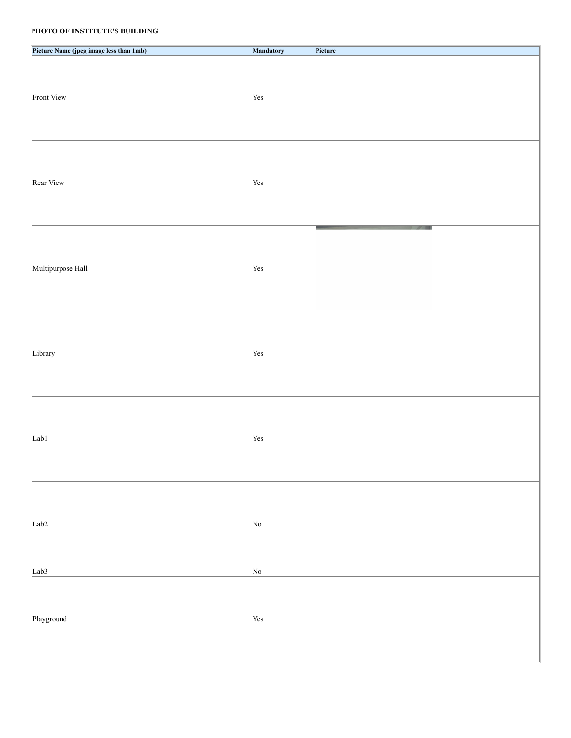# **PHOTO OF INSTITUTE'S BUILDING**

| Picture Name (jpeg image less than 1mb) | Mandatory          | Picture |  |
|-----------------------------------------|--------------------|---------|--|
| Front View                              | Yes                |         |  |
| Rear View                               | Yes                |         |  |
| Multipurpose Hall                       | Yes                |         |  |
| Library                                 | Yes                |         |  |
| Lab1                                    | Yes                |         |  |
| Lab <sub>2</sub>                        | No                 |         |  |
| Lab <sub>3</sub>                        | $\sqrt{\text{No}}$ |         |  |
| Playground                              | Yes                |         |  |